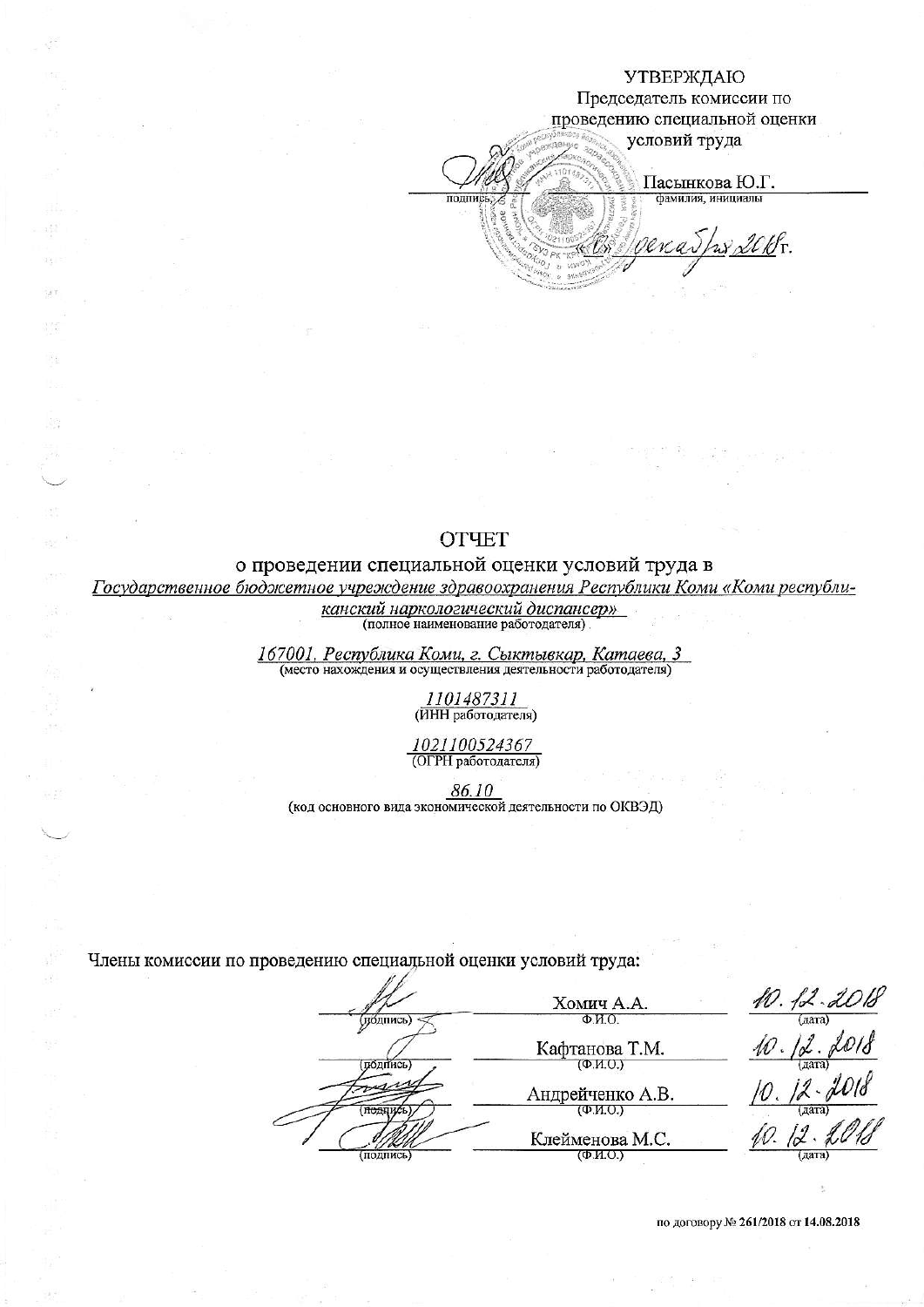### УТВЕРЖДАЮ

Председатель комиссии по проведению специальной оценки

условий труда

Пасынкова Ю.Г. фамилия, инициалы

enathodokr.

## **OTHET**

толпис

 $\chi^2_{\perp}$ 

32

 $\mathcal{A}$ 

### о проведении специальной оценки условий труда в

Государственное бюджетное учреждение здравоохранения Республики Коми «Коми республи-

канский наркологический диспансер» (полное наименование работодателя)

167001, Республика Коми, г. Сыктывкар, Катаева, 3<br>(место нахождения и осуществления деятельности работодателя)

<u>1101487311</u> (ИНН работодателя)

1021100524367 (ОГРН работодателя)

86.10

(код основного вида экономической деятельности по ОКВЭД)

Члены комиссии по проведению специальной оценки условий труда:

Хомич А.А. (убдпись) Ф.И.О. Кафтанова Т.М.  $(D.M.O.)$ (подпись Андрейченко А.В.  $(\Phi.M.O.)$ **ПОЛЛИСЬ** Клейменова М.С. (подпись)  $(\Phi$ .  $M$ .  $O$ .)

10.  $12.2018$ <br>10.  $12.2018$ <br>10.  $12.2018$  $10.12.11$ (дата)

по договору № 261/2018 от 14.08.2018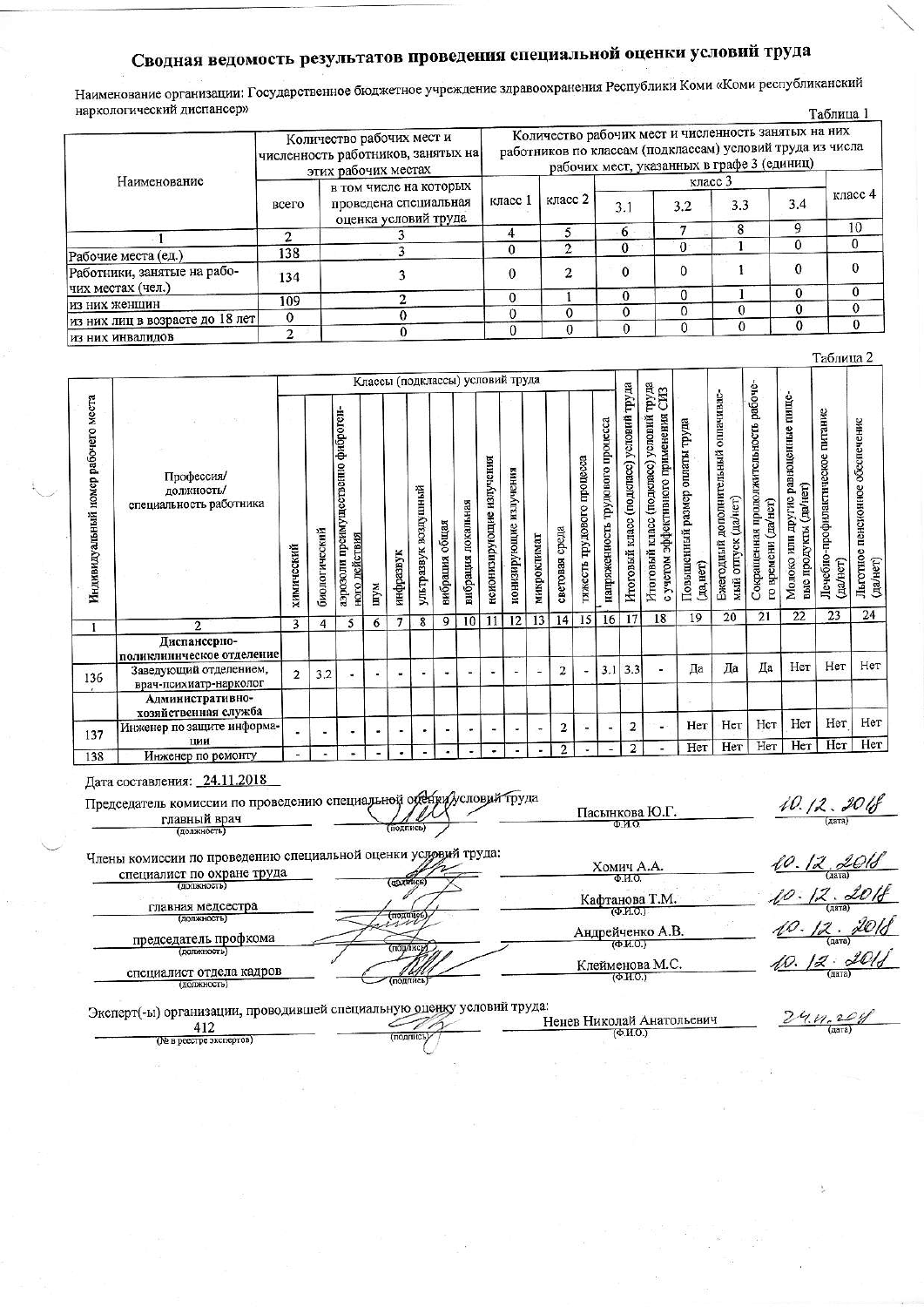# Сводная ведомость результатов проведения специальной оценки условий труда

Наименование организации: Государственное бюджетное учреждение здравоохранения Республики Коми «Коми республиканский наркологический диспансер» Таблина 1

|                                 |             |                                                                                        |                                                                                                                                                                 |         |              |          |     |     | $1$ HOMESTAN $\cdot$ |  |  |
|---------------------------------|-------------|----------------------------------------------------------------------------------------|-----------------------------------------------------------------------------------------------------------------------------------------------------------------|---------|--------------|----------|-----|-----|----------------------|--|--|
|                                 |             | Количество рабочих мест и<br>численность работников, занятых на<br>этих рабочих местах | Количество рабочих мест и численность занятых на них<br>работников по классам (подклассам) условий труда из числа<br>рабочих мест, указанных в графе 3 (единиц) |         |              |          |     |     |                      |  |  |
| Наименование                    |             | в том числе на которых                                                                 | класс 1                                                                                                                                                         | класс 2 |              |          |     |     |                      |  |  |
|                                 | всего       | проведена специальная<br>оценка условий труда                                          |                                                                                                                                                                 |         | 3.1          | 3.2      | 3.3 | 3.4 | класс $4$            |  |  |
|                                 |             |                                                                                        |                                                                                                                                                                 |         | $-0$         |          | 8   | Q   | 10                   |  |  |
|                                 |             |                                                                                        |                                                                                                                                                                 |         |              | $\Omega$ |     |     |                      |  |  |
| Рабочие места (ед.)             | 138         |                                                                                        |                                                                                                                                                                 |         |              |          |     |     |                      |  |  |
| Работники, занятые на рабо-     | 134         |                                                                                        |                                                                                                                                                                 | 2       | $\mathbf{0}$ |          |     |     |                      |  |  |
| чих местах (чел.)               |             |                                                                                        |                                                                                                                                                                 |         |              |          |     |     |                      |  |  |
| из них женщин                   | 109         |                                                                                        |                                                                                                                                                                 |         |              |          |     |     |                      |  |  |
| из них лиц в возрасте до 18 лет | $\mathbf 0$ |                                                                                        |                                                                                                                                                                 | ο       |              |          |     |     |                      |  |  |
| из них инвалидов                | າ           |                                                                                        |                                                                                                                                                                 |         |              |          |     |     |                      |  |  |

|     | Индивидуальный номер рабочего места<br>Профессия/<br>должность/<br>специальность работника |                | Классы (подклассы) условий труда |                                                        |                |           |                      |                |                    |                          |                           |                |                   | <b>TEXET</b>               |                                  |                                            |                                                                                   |                                             |                                                            |                                                                 |                                                              |                                                  |                                                |
|-----|--------------------------------------------------------------------------------------------|----------------|----------------------------------|--------------------------------------------------------|----------------|-----------|----------------------|----------------|--------------------|--------------------------|---------------------------|----------------|-------------------|----------------------------|----------------------------------|--------------------------------------------|-----------------------------------------------------------------------------------|---------------------------------------------|------------------------------------------------------------|-----------------------------------------------------------------|--------------------------------------------------------------|--------------------------------------------------|------------------------------------------------|
|     |                                                                                            | химический     | биологический                    | преимущественно фиброген-<br>ного действия<br>ипогодев | шум            | инфразвук | ультразвук воздушный | вибрация общая | вибрация покальная | неионизирующие излучения | излучения<br>ионизирующие | микроклимат    | среда<br>световая | тяжесть трудового процесса | напряженность трудового процесса | труда<br>Итоговый класс (подкласс) условий | условий<br>учетом эффективного применения<br>Итоговый класс (подкласс)<br>$\circ$ | Повышенный размер оплаты труда<br>(Aa, HCT) | Ежегодный дополнительный оплачивас-<br>мый отпуск (да/нет) | рабоче-<br>Сокращенная продолжительность<br>го времени (да/нет) | Молоко или другие равноценные пище-<br>вые продукты (да/нет) | -профилактическое питание<br>Лечебно<br>(да/нет) | пенсионное обеспечение<br>Льготное<br>(да/нет) |
|     | $\overline{2}$                                                                             | 3              | 4                                | 5                                                      | 6              | 7         | 8                    | 9              | 10                 | 11                       | 12                        | 13             | 14                | 15                         | 16                               | 17                                         | 18                                                                                | 19                                          | 20                                                         | 21                                                              | 22                                                           | 23                                               | 24                                             |
|     | Диспансерно-<br>поликлиническое отделение                                                  |                |                                  |                                                        |                |           |                      |                |                    |                          |                           |                |                   |                            |                                  |                                            |                                                                                   |                                             |                                                            |                                                                 |                                                              |                                                  |                                                |
| 136 | Заведующий отделением,<br>врач-психиатр-нарколог                                           | $\overline{2}$ | 3.2                              | ٠                                                      |                | ٠         |                      | ٠              | ۰                  |                          |                           |                | 2                 | ٠                          | 3.1                              | 3.3                                        | ۰                                                                                 | Да                                          | Да                                                         | Да                                                              | Her                                                          | Her                                              | Нет                                            |
|     | Административно-<br>хозяйственная служба                                                   |                |                                  |                                                        |                |           |                      |                |                    |                          |                           |                |                   |                            |                                  |                                            |                                                                                   |                                             |                                                            |                                                                 |                                                              |                                                  |                                                |
| 137 | Инженер по защите информа-<br>ции                                                          |                |                                  |                                                        |                |           | ۰                    | ۰              | ۰                  | ۰                        | ٠                         | $\blacksquare$ | 2                 |                            | L                                | $\overline{2}$                             |                                                                                   | Her                                         | Нет                                                        | Нет                                                             | Her                                                          | Her                                              | Her<br>Her                                     |
| 138 | Инженер по ремонту                                                                         | ۰              | ۰                                | щĐ,                                                    | $\blacksquare$ | ۰         | ۰                    | ٠              |                    |                          |                           |                | $\overline{2}$    |                            | Ξ                                | $\mathbf{2}$                               | ٠                                                                                 | Нет                                         | Нет                                                        | Her                                                             | Her                                                          | Her                                              |                                                |

Дата составления: 24.11.2018

| . .                                                                 |           |
|---------------------------------------------------------------------|-----------|
| Председатель комиссии по проведению специальной обещи условий труда |           |
| главный врач                                                        |           |
| (должность)                                                         | (подпись) |

 $10.12.206$  $(Ta)$ 

Таблица 2

Члены комиссии по проведению специальной оценки условий труда:  $\frac{\text{XOMич A.A}}{\Phi \text{MO}}$ **Tri** Кафтанова Т.М.  $\overline{\text{map}}$ Андрейченко А.В.  $(nonon)$  $26$ Клейменова М.С. g.  $(Ta)$ 

Пасынкова Ю.Г.

 $\overline{\Phi}$ <sub>MO</sub>

специалист отдела кадров

специалист по охране труда

главная медсестра

председатель профкома

(полжность

Эксперт(-ы) организации, проводившей специальную оценку условий труда: Ненев Николай Анатольевич 412  $(Φ.M.O.)$  $(nonunc.)$ (№ в реестре экспертов)

 $\mathcal{D}$  $20y$  $4.11.$